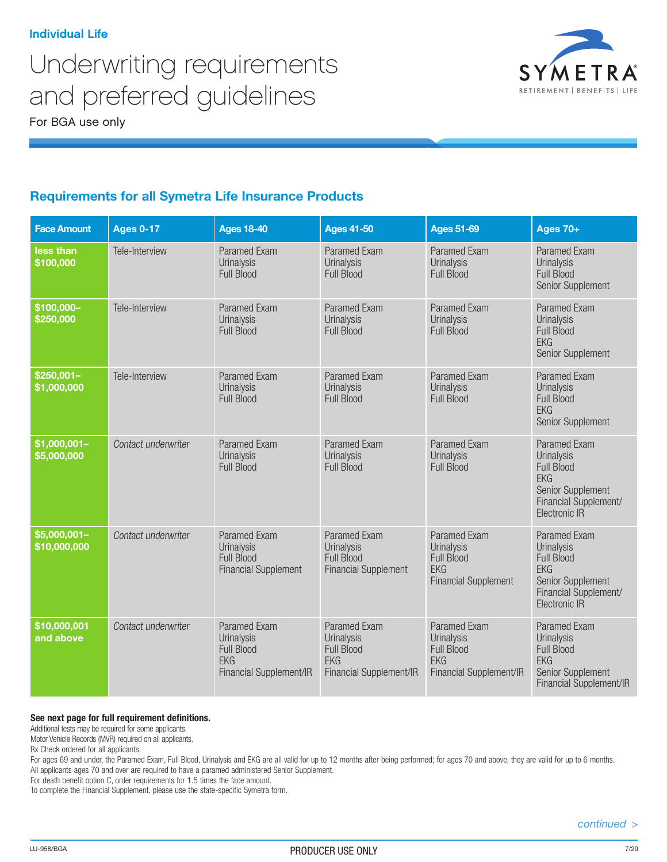# Underwriting requirements and preferred guidelines

For BGA use only



## Requirements for all Symetra Life Insurance Products

| <b>Face Amount</b>             | <b>Ages 0-17</b>    | <b>Ages 18-40</b>                                                                               | <b>Ages 41-50</b>                                                                        | <b>Ages 51-69</b>                                                                                   | <b>Ages 70+</b>                                                                                                                            |
|--------------------------------|---------------------|-------------------------------------------------------------------------------------------------|------------------------------------------------------------------------------------------|-----------------------------------------------------------------------------------------------------|--------------------------------------------------------------------------------------------------------------------------------------------|
| less than<br>\$100,000         | Tele-Interview      | <b>Paramed Exam</b><br><b>Urinalysis</b><br>Full Blood                                          | <b>Paramed Exam</b><br>Urinalysis<br>Full Blood                                          | <b>Paramed Exam</b><br>Urinalysis<br>Full Blood                                                     | <b>Paramed Exam</b><br><b>Urinalysis</b><br><b>Full Blood</b><br>Senior Supplement                                                         |
| $$100,000-$<br>\$250,000       | Tele-Interview      | Paramed Exam<br><b>Urinalysis</b><br><b>Full Blood</b>                                          | <b>Paramed Exam</b><br>Urinalysis<br><b>Full Blood</b>                                   | Paramed Exam<br>Urinalysis<br><b>Full Blood</b>                                                     | Paramed Exam<br><b>Urinalysis</b><br><b>Full Blood</b><br><b>EKG</b><br>Senior Supplement                                                  |
| $$250,001-$<br>\$1,000,000     | Tele-Interview      | <b>Paramed Exam</b><br><b>Urinalysis</b><br>Full Blood                                          | <b>Paramed Exam</b><br>Urinalysis<br><b>Full Blood</b>                                   | Paramed Exam<br><b>Urinalysis</b><br>Full Blood                                                     | Paramed Exam<br><b>Urinalysis</b><br>Full Blood<br><b>FKG</b><br>Senior Supplement                                                         |
| $$1,000,001-$<br>\$5,000,000   | Contact underwriter | <b>Paramed Exam</b><br><b>Urinalysis</b><br><b>Full Blood</b>                                   | <b>Paramed Exam</b><br>Urinalysis<br>Full Blood                                          | <b>Paramed Exam</b><br>Urinalysis<br><b>Full Blood</b>                                              | <b>Paramed Exam</b><br><b>Urinalysis</b><br><b>Full Blood</b><br><b>EKG</b><br>Senior Supplement<br>Financial Supplement/<br>Electronic IR |
| $55,000,001 -$<br>\$10,000,000 | Contact underwriter | <b>Paramed Exam</b><br><b>Urinalysis</b><br>Full Blood<br><b>Financial Supplement</b>           | <b>Paramed Exam</b><br>Urinalysis<br>Full Blood<br><b>Financial Supplement</b>           | <b>Paramed Exam</b><br><b>Urinalysis</b><br>Full Blood<br><b>EKG</b><br><b>Financial Supplement</b> | Paramed Exam<br><b>Urinalysis</b><br><b>Full Blood</b><br><b>EKG</b><br>Senior Supplement<br>Financial Supplement/<br>Electronic IR        |
| \$10,000,001<br>and above      | Contact underwriter | <b>Paramed Exam</b><br><b>Urinalysis</b><br>Full Blood<br><b>EKG</b><br>Financial Supplement/IR | <b>Paramed Exam</b><br>Urinalysis<br>Full Blood<br><b>EKG</b><br>Financial Supplement/IR | Paramed Exam<br>Urinalysis<br><b>Full Blood</b><br><b>EKG</b><br>Financial Supplement/IR            | Paramed Exam<br>Urinalysis<br>Full Blood<br><b>EKG</b><br>Senior Supplement<br>Financial Supplement/IR                                     |

#### **See next page for full requirement definitions.**

Additional tests may be required for some applicants.

Motor Vehicle Records (MVR) required on all applicants.

Rx Check ordered for all applicants.

For ages 69 and under, the Paramed Exam, Full Blood, Urinalysis and EKG are all valid for up to 12 months after being performed; for ages 70 and above, they are valid for up to 6 months. All applicants ages 70 and over are required to have a paramed administered Senior Supplement.

For death benefit option C, order requirements for 1.5 times the face amount.

To complete the Financial Supplement, please use the state-specific Symetra form.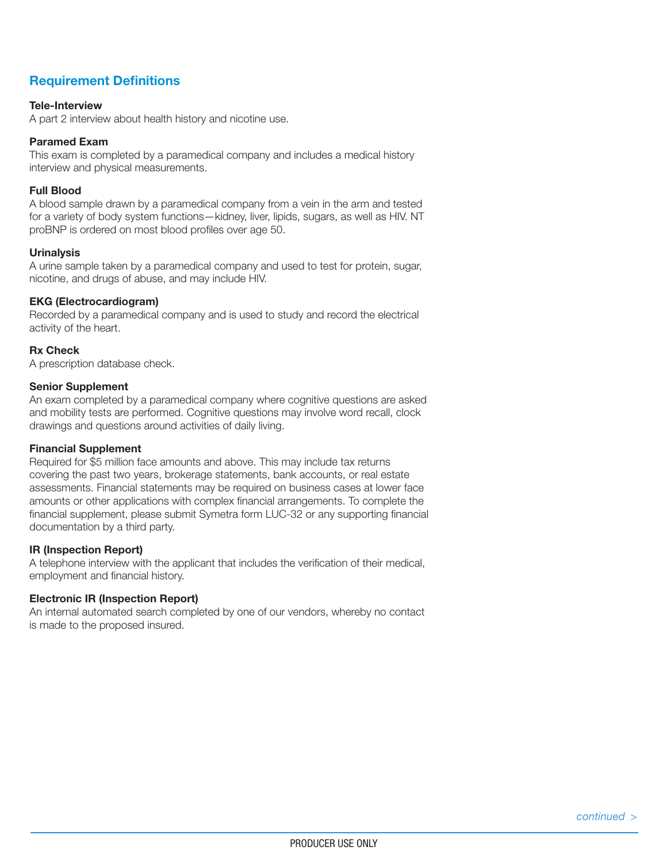## Requirement Definitions

#### Tele-Interview

A part 2 interview about health history and nicotine use.

#### Paramed Exam

This exam is completed by a paramedical company and includes a medical history interview and physical measurements.

#### Full Blood

A blood sample drawn by a paramedical company from a vein in the arm and tested for a variety of body system functions—kidney, liver, lipids, sugars, as well as HIV. NT proBNP is ordered on most blood profiles over age 50.

#### **Urinalysis**

A urine sample taken by a paramedical company and used to test for protein, sugar, nicotine, and drugs of abuse, and may include HIV.

#### EKG (Electrocardiogram)

Recorded by a paramedical company and is used to study and record the electrical activity of the heart.

#### Rx Check

A prescription database check.

#### Senior Supplement

An exam completed by a paramedical company where cognitive questions are asked and mobility tests are performed. Cognitive questions may involve word recall, clock drawings and questions around activities of daily living.

#### Financial Supplement

Required for \$5 million face amounts and above. This may include tax returns covering the past two years, brokerage statements, bank accounts, or real estate assessments. Financial statements may be required on business cases at lower face amounts or other applications with complex financial arrangements. To complete the financial supplement, please submit Symetra form LUC-32 or any supporting financial documentation by a third party.

#### IR (Inspection Report)

A telephone interview with the applicant that includes the verification of their medical, employment and financial history.

#### Electronic IR (Inspection Report)

An internal automated search completed by one of our vendors, whereby no contact is made to the proposed insured.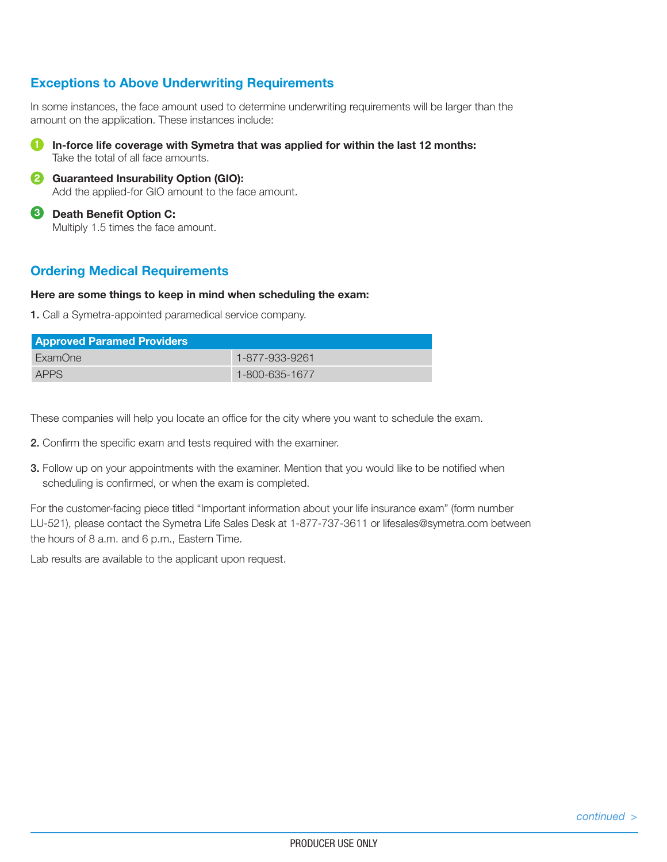### Exceptions to Above Underwriting Requirements

In some instances, the face amount used to determine underwriting requirements will be larger than the amount on the application. These instances include:



- 2 Guaranteed Insurability Option (GIO): Add the applied-for GIO amount to the face amount.
- **3** Death Benefit Option C: Multiply 1.5 times the face amount.

### Ordering Medical Requirements

#### Here are some things to keep in mind when scheduling the exam:

1. Call a Symetra-appointed paramedical service company.

| <b>Approved Paramed Providers</b> |                |  |  |  |
|-----------------------------------|----------------|--|--|--|
| ExamOne                           | 1-877-933-9261 |  |  |  |
| <b>APPS</b>                       | 1-800-635-1677 |  |  |  |

These companies will help you locate an office for the city where you want to schedule the exam.

- 2. Confirm the specific exam and tests required with the examiner.
- 3. Follow up on your appointments with the examiner. Mention that you would like to be notified when scheduling is confirmed, or when the exam is completed.

For the customer-facing piece titled "Important information about your life insurance exam" (form number LU-521), please contact the Symetra Life Sales Desk at 1-877-737-3611 or lifesales@symetra.com between the hours of 8 a.m. and 6 p.m., Eastern Time.

Lab results are available to the applicant upon request.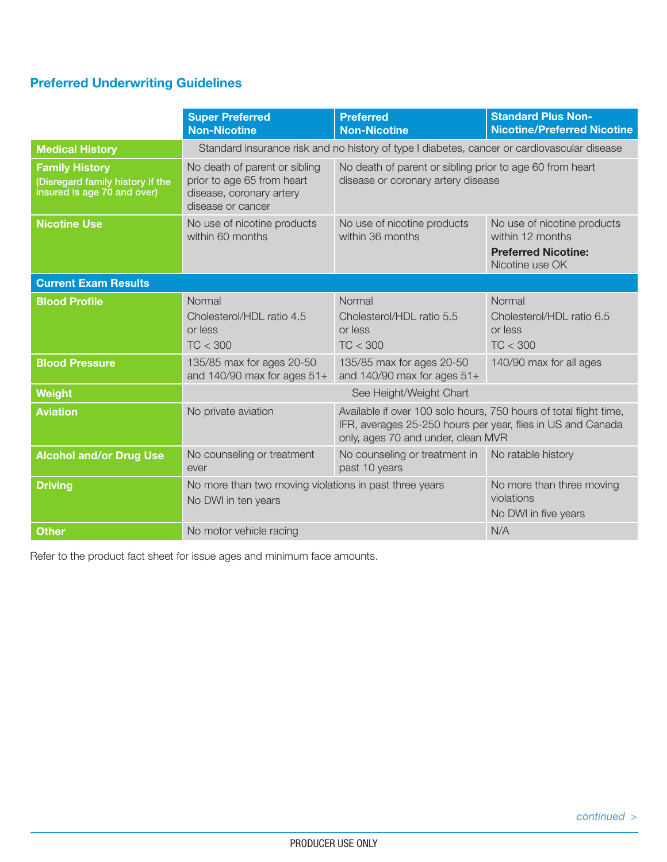## Preferred Underwriting Guidelines

|                                                                                          | <b>Super Preferred</b><br><b>Non-Nicotine</b>                                                                                | <b>Preferred</b><br><b>Non-Nicotine</b>                                                                                                                                | <b>Standard Plus Non-</b><br><b>Nicotine/Preferred Nicotine</b>                                  |  |  |
|------------------------------------------------------------------------------------------|------------------------------------------------------------------------------------------------------------------------------|------------------------------------------------------------------------------------------------------------------------------------------------------------------------|--------------------------------------------------------------------------------------------------|--|--|
| <b>Medical History</b>                                                                   | Standard insurance risk and no history of type I diabetes, cancer or cardiovascular disease                                  |                                                                                                                                                                        |                                                                                                  |  |  |
| <b>Family History</b><br>(Disregard family history if the<br>insured is age 70 and over) | No death of parent or sibling<br>prior to age 65 from heart<br>disease, coronary artery<br>disease or cancer                 | No death of parent or sibling prior to age 60 from heart<br>disease or coronary artery disease                                                                         |                                                                                                  |  |  |
| <b>Nicotine Use</b>                                                                      | No use of nicotine products<br>within 60 months                                                                              | No use of nicotine products<br>within 36 months                                                                                                                        | No use of nicotine products<br>within 12 months<br><b>Preferred Nicotine:</b><br>Nicotine use OK |  |  |
| <b>Current Exam Results</b>                                                              |                                                                                                                              |                                                                                                                                                                        |                                                                                                  |  |  |
| <b>Blood Profile</b>                                                                     | Normal<br>Cholesterol/HDL ratio 4.5<br>or less<br>TC < 300                                                                   | Normal<br>Cholesterol/HDL ratio 5.5<br>or less<br>TC < 300                                                                                                             | Normal<br>Cholesterol/HDL ratio 6.5<br>or less<br>TC < 300                                       |  |  |
| <b>Blood Pressure</b>                                                                    | 135/85 max for ages 20-50<br>135/85 max for ages 20-50<br>and $140/90$ max for ages $51+$<br>and $140/90$ max for ages $51+$ |                                                                                                                                                                        | 140/90 max for all ages                                                                          |  |  |
| Weight                                                                                   |                                                                                                                              |                                                                                                                                                                        |                                                                                                  |  |  |
| <b>Aviation</b>                                                                          | No private aviation                                                                                                          | Available if over 100 solo hours, 750 hours of total flight time,<br>IFR, averages 25-250 hours per year, flies in US and Canada<br>only, ages 70 and under, clean MVR |                                                                                                  |  |  |
| <b>Alcohol and/or Drug Use</b><br>No counseling or treatment<br>ever                     |                                                                                                                              | No counseling or treatment in<br>past 10 years                                                                                                                         | No ratable history                                                                               |  |  |
| <b>Driving</b>                                                                           | No more than two moving violations in past three years<br>No DWI in ten years                                                | No more than three moving<br>violations<br>No DWI in five years                                                                                                        |                                                                                                  |  |  |
| <b>Other</b>                                                                             | No motor vehicle racing                                                                                                      | N/A                                                                                                                                                                    |                                                                                                  |  |  |

Refer to the product fact sheet for issue ages and minimum face amounts.